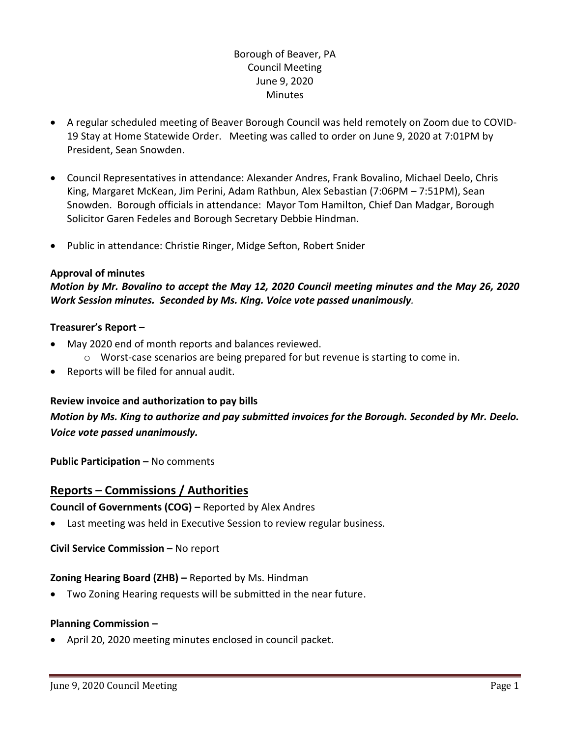# Borough of Beaver, PA Council Meeting June 9, 2020 **Minutes**

- A regular scheduled meeting of Beaver Borough Council was held remotely on Zoom due to COVID-19 Stay at Home Statewide Order. Meeting was called to order on June 9, 2020 at 7:01PM by President, Sean Snowden.
- Council Representatives in attendance: Alexander Andres, Frank Bovalino, Michael Deelo, Chris King, Margaret McKean, Jim Perini, Adam Rathbun, Alex Sebastian (7:06PM – 7:51PM), Sean Snowden. Borough officials in attendance: Mayor Tom Hamilton, Chief Dan Madgar, Borough Solicitor Garen Fedeles and Borough Secretary Debbie Hindman.
- Public in attendance: Christie Ringer, Midge Sefton, Robert Snider

#### **Approval of minutes**

## *Motion by Mr. Bovalino to accept the May 12, 2020 Council meeting minutes and the May 26, 2020 Work Session minutes. Seconded by Ms. King. Voice vote passed unanimously.*

#### **Treasurer's Report –**

- May 2020 end of month reports and balances reviewed.
	- $\circ$  Worst-case scenarios are being prepared for but revenue is starting to come in.
- Reports will be filed for annual audit.

#### **Review invoice and authorization to pay bills**

# *Motion by Ms. King to authorize and pay submitted invoices for the Borough. Seconded by Mr. Deelo. Voice vote passed unanimously.*

**Public Participation –** No comments

# **Reports – Commissions / Authorities**

**Council of Governments (COG) –** Reported by Alex Andres

Last meeting was held in Executive Session to review regular business.

**Civil Service Commission –** No report

#### **Zoning Hearing Board (ZHB) –** Reported by Ms. Hindman

Two Zoning Hearing requests will be submitted in the near future.

#### **Planning Commission –**

April 20, 2020 meeting minutes enclosed in council packet.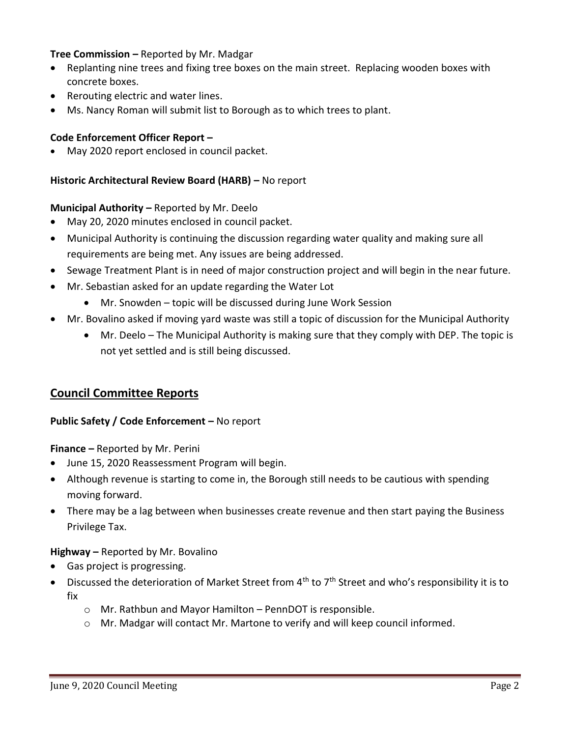### **Tree Commission –** Reported by Mr. Madgar

- Replanting nine trees and fixing tree boxes on the main street. Replacing wooden boxes with concrete boxes.
- Rerouting electric and water lines.
- Ms. Nancy Roman will submit list to Borough as to which trees to plant.

#### **Code Enforcement Officer Report –**

May 2020 report enclosed in council packet.

### **Historic Architectural Review Board (HARB) –** No report

#### **Municipal Authority –** Reported by Mr. Deelo

- May 20, 2020 minutes enclosed in council packet.
- Municipal Authority is continuing the discussion regarding water quality and making sure all requirements are being met. Any issues are being addressed.
- Sewage Treatment Plant is in need of major construction project and will begin in the near future.
- Mr. Sebastian asked for an update regarding the Water Lot
	- Mr. Snowden topic will be discussed during June Work Session
- Mr. Bovalino asked if moving yard waste was still a topic of discussion for the Municipal Authority
	- Mr. Deelo The Municipal Authority is making sure that they comply with DEP. The topic is not yet settled and is still being discussed.

### **Council Committee Reports**

#### **Public Safety / Code Enforcement –** No report

**Finance –** Reported by Mr. Perini

- June 15, 2020 Reassessment Program will begin.
- Although revenue is starting to come in, the Borough still needs to be cautious with spending moving forward.
- There may be a lag between when businesses create revenue and then start paying the Business Privilege Tax.

#### **Highway –** Reported by Mr. Bovalino

- Gas project is progressing.
- $\bullet$  Discussed the deterioration of Market Street from 4<sup>th</sup> to 7<sup>th</sup> Street and who's responsibility it is to fix
	- o Mr. Rathbun and Mayor Hamilton PennDOT is responsible.
	- o Mr. Madgar will contact Mr. Martone to verify and will keep council informed.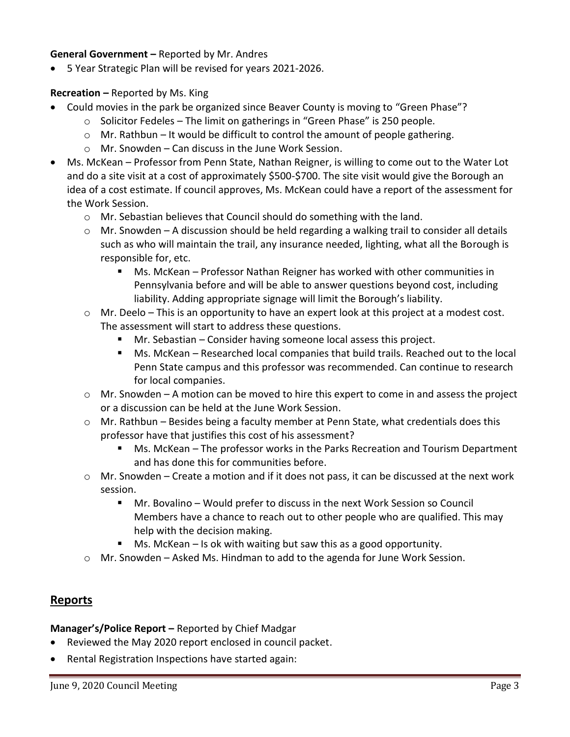#### **General Government –** Reported by Mr. Andres

5 Year Strategic Plan will be revised for years 2021-2026.

#### **Recreation –** Reported by Ms. King

- Could movies in the park be organized since Beaver County is moving to "Green Phase"?
	- $\circ$  Solicitor Fedeles The limit on gatherings in "Green Phase" is 250 people.
	- $\circ$  Mr. Rathbun It would be difficult to control the amount of people gathering.
	- o Mr. Snowden Can discuss in the June Work Session.
- Ms. McKean Professor from Penn State, Nathan Reigner, is willing to come out to the Water Lot and do a site visit at a cost of approximately \$500-\$700. The site visit would give the Borough an idea of a cost estimate. If council approves, Ms. McKean could have a report of the assessment for the Work Session.
	- o Mr. Sebastian believes that Council should do something with the land.
	- $\circ$  Mr. Snowden A discussion should be held regarding a walking trail to consider all details such as who will maintain the trail, any insurance needed, lighting, what all the Borough is responsible for, etc.
		- Ms. McKean Professor Nathan Reigner has worked with other communities in Pennsylvania before and will be able to answer questions beyond cost, including liability. Adding appropriate signage will limit the Borough's liability.
	- $\circ$  Mr. Deelo This is an opportunity to have an expert look at this project at a modest cost. The assessment will start to address these questions.
		- Mr. Sebastian Consider having someone local assess this project.
		- Ms. McKean Researched local companies that build trails. Reached out to the local Penn State campus and this professor was recommended. Can continue to research for local companies.
	- o Mr. Snowden A motion can be moved to hire this expert to come in and assess the project or a discussion can be held at the June Work Session.
	- $\circ$  Mr. Rathbun Besides being a faculty member at Penn State, what credentials does this professor have that justifies this cost of his assessment?
		- Ms. McKean The professor works in the Parks Recreation and Tourism Department and has done this for communities before.
	- o Mr. Snowden Create a motion and if it does not pass, it can be discussed at the next work session.
		- Mr. Bovalino Would prefer to discuss in the next Work Session so Council Members have a chance to reach out to other people who are qualified. This may help with the decision making.
		- $\blacksquare$  Ms. McKean Is ok with waiting but saw this as a good opportunity.
	- o Mr. Snowden Asked Ms. Hindman to add to the agenda for June Work Session.

# **Reports**

**Manager's/Police Report –** Reported by Chief Madgar

- Reviewed the May 2020 report enclosed in council packet.
- Rental Registration Inspections have started again: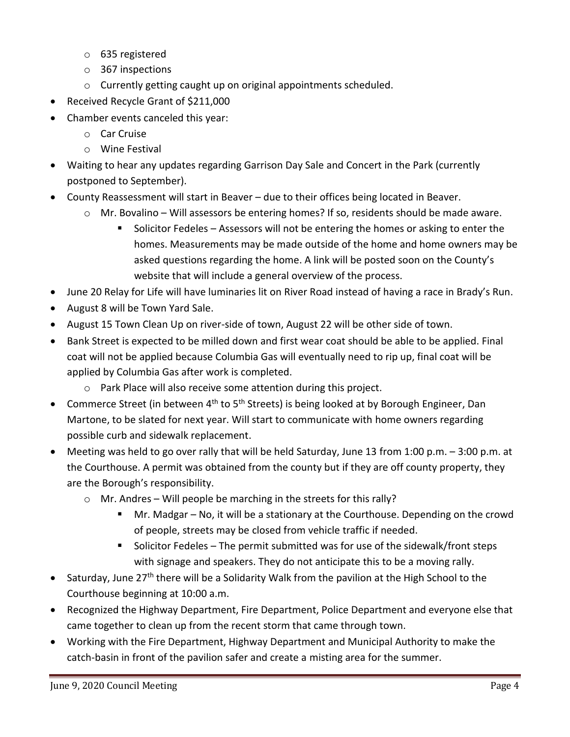- o 635 registered
- o 367 inspections
- o Currently getting caught up on original appointments scheduled.
- Received Recycle Grant of \$211,000
- Chamber events canceled this year:
	- o Car Cruise
	- o Wine Festival
- Waiting to hear any updates regarding Garrison Day Sale and Concert in the Park (currently postponed to September).
- County Reassessment will start in Beaver due to their offices being located in Beaver.
	- $\circ$  Mr. Bovalino Will assessors be entering homes? If so, residents should be made aware.
		- Solicitor Fedeles Assessors will not be entering the homes or asking to enter the homes. Measurements may be made outside of the home and home owners may be asked questions regarding the home. A link will be posted soon on the County's website that will include a general overview of the process.
- June 20 Relay for Life will have luminaries lit on River Road instead of having a race in Brady's Run.
- August 8 will be Town Yard Sale.
- August 15 Town Clean Up on river-side of town, August 22 will be other side of town.
- Bank Street is expected to be milled down and first wear coat should be able to be applied. Final coat will not be applied because Columbia Gas will eventually need to rip up, final coat will be applied by Columbia Gas after work is completed.
	- o Park Place will also receive some attention during this project.
- Commerce Street (in between  $4<sup>th</sup>$  to  $5<sup>th</sup>$  Streets) is being looked at by Borough Engineer, Dan Martone, to be slated for next year. Will start to communicate with home owners regarding possible curb and sidewalk replacement.
- Meeting was held to go over rally that will be held Saturday, June 13 from 1:00 p.m. 3:00 p.m. at the Courthouse. A permit was obtained from the county but if they are off county property, they are the Borough's responsibility.
	- $\circ$  Mr. Andres Will people be marching in the streets for this rally?
		- Mr. Madgar No, it will be a stationary at the Courthouse. Depending on the crowd of people, streets may be closed from vehicle traffic if needed.
		- Solicitor Fedeles The permit submitted was for use of the sidewalk/front steps with signage and speakers. They do not anticipate this to be a moving rally.
- Saturday, June  $27<sup>th</sup>$  there will be a Solidarity Walk from the pavilion at the High School to the Courthouse beginning at 10:00 a.m.
- Recognized the Highway Department, Fire Department, Police Department and everyone else that came together to clean up from the recent storm that came through town.
- Working with the Fire Department, Highway Department and Municipal Authority to make the catch-basin in front of the pavilion safer and create a misting area for the summer.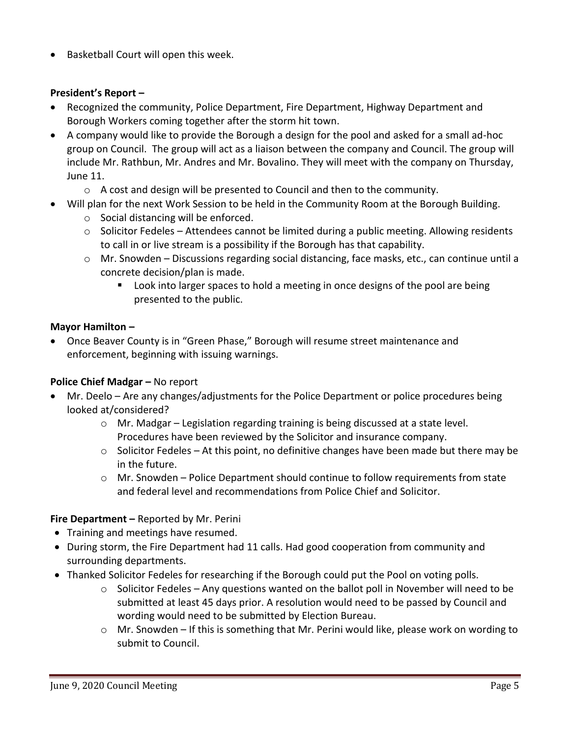• Basketball Court will open this week.

### **President's Report –**

- Recognized the community, Police Department, Fire Department, Highway Department and Borough Workers coming together after the storm hit town.
- A company would like to provide the Borough a design for the pool and asked for a small ad-hoc group on Council. The group will act as a liaison between the company and Council. The group will include Mr. Rathbun, Mr. Andres and Mr. Bovalino. They will meet with the company on Thursday, June 11.
	- $\circ$  A cost and design will be presented to Council and then to the community.
- Will plan for the next Work Session to be held in the Community Room at the Borough Building.
	- o Social distancing will be enforced.
	- $\circ$  Solicitor Fedeles Attendees cannot be limited during a public meeting. Allowing residents to call in or live stream is a possibility if the Borough has that capability.
	- o Mr. Snowden Discussions regarding social distancing, face masks, etc., can continue until a concrete decision/plan is made.
		- **Look into larger spaces to hold a meeting in once designs of the pool are being** presented to the public.

### **Mayor Hamilton –**

 Once Beaver County is in "Green Phase," Borough will resume street maintenance and enforcement, beginning with issuing warnings.

### **Police Chief Madgar –** No report

- Mr. Deelo Are any changes/adjustments for the Police Department or police procedures being looked at/considered?
	- o Mr. Madgar Legislation regarding training is being discussed at a state level. Procedures have been reviewed by the Solicitor and insurance company.
	- $\circ$  Solicitor Fedeles At this point, no definitive changes have been made but there may be in the future.
	- $\circ$  Mr. Snowden Police Department should continue to follow requirements from state and federal level and recommendations from Police Chief and Solicitor.

### **Fire Department –** Reported by Mr. Perini

- Training and meetings have resumed.
- During storm, the Fire Department had 11 calls. Had good cooperation from community and surrounding departments.
- Thanked Solicitor Fedeles for researching if the Borough could put the Pool on voting polls.
	- $\circ$  Solicitor Fedeles Any questions wanted on the ballot poll in November will need to be submitted at least 45 days prior. A resolution would need to be passed by Council and wording would need to be submitted by Election Bureau.
	- o Mr. Snowden If this is something that Mr. Perini would like, please work on wording to submit to Council.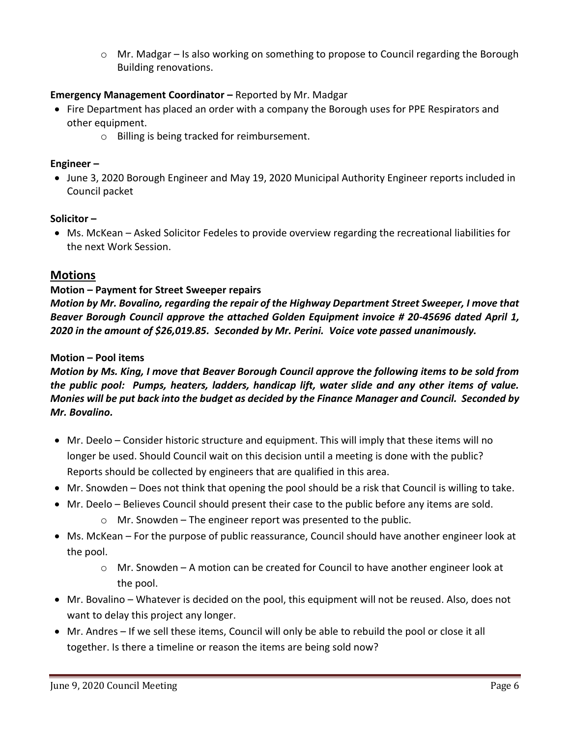$\circ$  Mr. Madgar – Is also working on something to propose to Council regarding the Borough Building renovations.

# **Emergency Management Coordinator –** Reported by Mr. Madgar

- Fire Department has placed an order with a company the Borough uses for PPE Respirators and other equipment.
	- o Billing is being tracked for reimbursement.

### **Engineer –**

• June 3, 2020 Borough Engineer and May 19, 2020 Municipal Authority Engineer reports included in Council packet

### **Solicitor –**

 Ms. McKean – Asked Solicitor Fedeles to provide overview regarding the recreational liabilities for the next Work Session.

# **Motions**

# **Motion – Payment for Street Sweeper repairs**

*Motion by Mr. Bovalino, regarding the repair of the Highway Department Street Sweeper, I move that Beaver Borough Council approve the attached Golden Equipment invoice # 20-45696 dated April 1, 2020 in the amount of \$26,019.85. Seconded by Mr. Perini. Voice vote passed unanimously.*

### **Motion – Pool items**

*Motion by Ms. King, I move that Beaver Borough Council approve the following items to be sold from the public pool: Pumps, heaters, ladders, handicap lift, water slide and any other items of value. Monies will be put back into the budget as decided by the Finance Manager and Council. Seconded by Mr. Bovalino.* 

- Mr. Deelo Consider historic structure and equipment. This will imply that these items will no longer be used. Should Council wait on this decision until a meeting is done with the public? Reports should be collected by engineers that are qualified in this area.
- Mr. Snowden Does not think that opening the pool should be a risk that Council is willing to take.
- Mr. Deelo Believes Council should present their case to the public before any items are sold.
	- $\circ$  Mr. Snowden The engineer report was presented to the public.
- Ms. McKean For the purpose of public reassurance, Council should have another engineer look at the pool.
	- o Mr. Snowden A motion can be created for Council to have another engineer look at the pool.
- Mr. Bovalino Whatever is decided on the pool, this equipment will not be reused. Also, does not want to delay this project any longer.
- Mr. Andres If we sell these items, Council will only be able to rebuild the pool or close it all together. Is there a timeline or reason the items are being sold now?